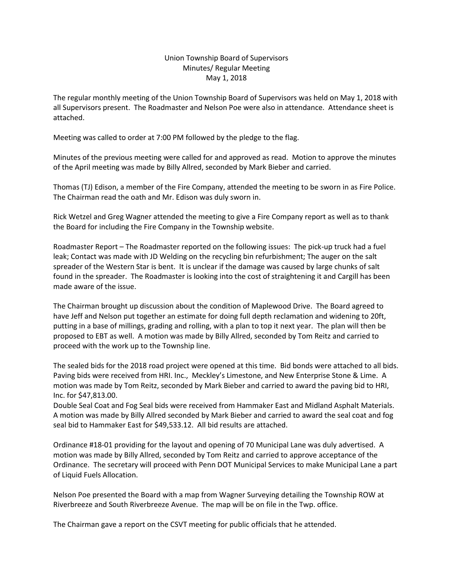## Union Township Board of Supervisors Minutes/ Regular Meeting May 1, 2018

The regular monthly meeting of the Union Township Board of Supervisors was held on May 1, 2018 with all Supervisors present. The Roadmaster and Nelson Poe were also in attendance. Attendance sheet is attached.

Meeting was called to order at 7:00 PM followed by the pledge to the flag.

Minutes of the previous meeting were called for and approved as read. Motion to approve the minutes of the April meeting was made by Billy Allred, seconded by Mark Bieber and carried.

Thomas (TJ) Edison, a member of the Fire Company, attended the meeting to be sworn in as Fire Police. The Chairman read the oath and Mr. Edison was duly sworn in.

Rick Wetzel and Greg Wagner attended the meeting to give a Fire Company report as well as to thank the Board for including the Fire Company in the Township website.

Roadmaster Report – The Roadmaster reported on the following issues: The pick-up truck had a fuel leak; Contact was made with JD Welding on the recycling bin refurbishment; The auger on the salt spreader of the Western Star is bent. It is unclear if the damage was caused by large chunks of salt found in the spreader. The Roadmaster is looking into the cost of straightening it and Cargill has been made aware of the issue.

The Chairman brought up discussion about the condition of Maplewood Drive. The Board agreed to have Jeff and Nelson put together an estimate for doing full depth reclamation and widening to 20ft, putting in a base of millings, grading and rolling, with a plan to top it next year. The plan will then be proposed to EBT as well. A motion was made by Billy Allred, seconded by Tom Reitz and carried to proceed with the work up to the Township line.

The sealed bids for the 2018 road project were opened at this time. Bid bonds were attached to all bids. Paving bids were received from HRI. Inc., Meckley's Limestone, and New Enterprise Stone & Lime. A motion was made by Tom Reitz, seconded by Mark Bieber and carried to award the paving bid to HRI, Inc. for \$47,813.00.

Double Seal Coat and Fog Seal bids were received from Hammaker East and Midland Asphalt Materials. A motion was made by Billy Allred seconded by Mark Bieber and carried to award the seal coat and fog seal bid to Hammaker East for \$49,533.12. All bid results are attached.

Ordinance #18-01 providing for the layout and opening of 70 Municipal Lane was duly advertised. A motion was made by Billy Allred, seconded by Tom Reitz and carried to approve acceptance of the Ordinance. The secretary will proceed with Penn DOT Municipal Services to make Municipal Lane a part of Liquid Fuels Allocation.

Nelson Poe presented the Board with a map from Wagner Surveying detailing the Township ROW at Riverbreeze and South Riverbreeze Avenue. The map will be on file in the Twp. office.

The Chairman gave a report on the CSVT meeting for public officials that he attended.